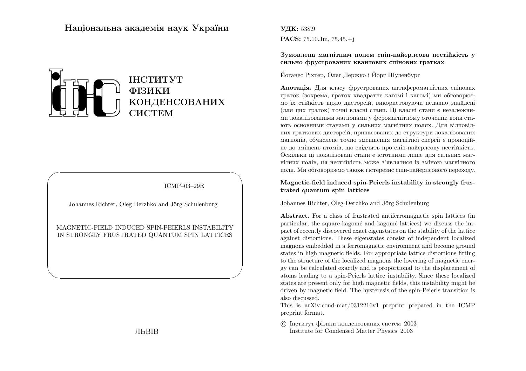## Нацiональна академiя наук України



ICMP–03–29E

✩

 $\overline{\phantom{a}}$ 

Johannes Richter, Oleg Derzhko and Jörg Schulenburg

 $\sqrt{2}$ 

 $\setminus$ 

## MAGNETIC-FIELD INDUCED SPIN-PEIERLS INSTABILITYIN STRONGLY FRUSTRATED QUANTUM SPIN LATTICES

ЛЬВIВ

УДК: 538.9 $\mathbf{PACS:} \; 75.10.\mathrm{Jm}, \, 75.45. + \mathrm{j}$ 

Зумовлена магнiтним полем спiн-пайєрлсова нестiйкiсть усильно фрустрованих квантових спiнових гратках

Йоганес Рiхтер, Олег Держко <sup>i</sup> Йорг Шуленбург

**Анотація.** Для класу фрустрованих антиферомагнітних спінових граток (зокрема, граток квадратне кагомi <sup>i</sup> кагомi) ми обговорюємо їх стiйкiсть щодо дисторсiй, використовуючи недавно знайденi (для цих граток) точнi власнi стани. Цi власнi стани <sup>є</sup> незалежними локалiзованими магнонами у феромагнiтному оточеннi; вони стають основними станами у сильних магнiтних полях. Для вiдповiдних граткових дисторсiй, припасованих до структури локалiзованих магнонiв, обчислене точно зменшення магнiтної енергiї <sup>є</sup> пропоцiйне до змiщень атомiв, що свiдчить про спiн-пайєрлсову нестiйкiсть. Оскiльки цi локалiзованi стани <sup>є</sup> iстотними лише для сильних магнiтних полiв, ця нестiйкiсть може <sup>з</sup>'являтися iз змiною магнiтногополя. Ми обговорюємо також гiстерезис спiн-пайєрлсового переходу.

## Magnetic-field induced spin-Peierls instability in strongly frustrated quantum spin lattices

Johannes Richter, Oleg Derzhko and Jörg Schulenburg

Abstract. For <sup>a</sup> class of frustrated antiferromagnetic spin lattices (inparticular, the square-kagomé and kagomé lattices) we discuss the impact of recently discovered exact eigenstates on the stability of the lattice against distortions. These eigenstates consist of independent localized magnons embedded in <sup>a</sup> ferromagnetic environment and become ground states in high magnetic fields. For appropriate lattice distortions fitting to the structure of the localized magnons the lowering of magnetic energy can be calculated exactly and is proportional to the displacement of atoms leading to <sup>a</sup> spin-Peierls lattice instability. Since these localized states are present only for high magnetic fields, this instability might be driven by magnetic field. The hysteresis of the spin-Peierls transition is also discussed.

This is arXiv:cond-mat/0312216v1 preprint prepared in the ICMPpreprint format.

 c Iнститут фiзики конденсованих систем <sup>2003</sup>Institute for Condensed Matter Physics 2003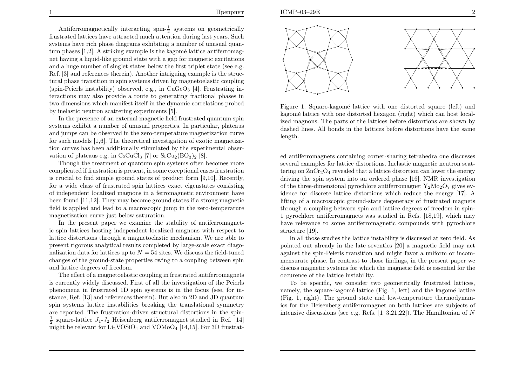Antiferromagnetically interacting  $\sin \frac{1}{2}$  systems on geometrically frustrated lattices have attracted much attention during last years. Such systems have rich <sup>p</sup>hase diagrams exhibiting <sup>a</sup> number of unusual quantum phases  $[1,2]$ . A striking example is the kagomé lattice antiferromagnet having <sup>a</sup> liquid-like ground state with <sup>a</sup> gap for magnetic excitations and <sup>a</sup> huge number of singlet states below the first triplet state (see e.g. Ref. [3] and references therein). Another intriguing example is the structural phase transition in spin systems driven by magnetoelastic coupling(spin-Peierls instability) observed, e.g., in  $CuGeO<sub>3</sub>$  [4]. Frustrating interactions may also provide <sup>a</sup> route to generating fractional <sup>p</sup>hases in two dimensions which manifest itself in the dynamic correlations probedby inelastic neutron scattering experiments [5].

 In the presence of an external magnetic field frustrated quantum spin systems exhibit <sup>a</sup> number of unusual properties. In particular, <sup>p</sup>lateaus and jumps can be observed in the zero-temperature magnetization curve for such models [1,6]. The theoretical investigation of exotic magnetization curves has been additionally stimulated by the experimental observation of plateaus e.g. in CsCuCl<sub>3</sub> [7] or  $SrCu<sub>2</sub>(BO<sub>3</sub>)<sub>2</sub>$  [8].

Though the treatment of quantum spin systems often becomes more complicated if frustration is present, in some exceptional cases frustration is crucial to find simple ground states of product form [9,10]. Recently,for <sup>a</sup> wide class of frustrated spin lattices exact eigenstates consisting of independent localized magnons in <sup>a</sup> ferromagnetic environment have been found [11,12]. They may become ground states if <sup>a</sup> strong magnetic field is applied and lead to <sup>a</sup> macroscopic jump in the zero-temperaturemagnetization curve just below saturation.

 In the present paper we examine the stability of antiferromagnetic spin lattices hosting independent localized magnons with respect to lattice distortions through <sup>a</sup> magnetoelastic mechanism. We are able to present rigorous analytical results completed by large-scale exact diagonalization data for lattices up to  $N = 54$  sites. We discuss the field-tuned changes of the ground-state properties owing to <sup>a</sup> coupling between spinand lattice degrees of freedom.

 The effect of <sup>a</sup> magnetoelastic coupling in frustrated antiferromagnets is currently widely discussed. First of all the investigation of the Peierls <sup>p</sup>henomena in frustrated 1D spin systems is in the focus (see, for instance, Ref. [13] and references therein). But also in 2D and 3D quantum spin systems lattice instabilities breaking the translational symmetry are reported. The frustration-driven structural distortions in the spin-<sup>1</sup>/<sub>2</sub> square-lattice  $J_1$ - $J_2$  Heisenberg antiferromagnet studied in Ref. [14]<br><sup>2</sup> i.i.d. <sup>1</sup> i.i.d. <sup>1</sup> i.i.d. <sup>1</sup> i.i.d. <sup>1</sup> i.i.d. <sup>1</sup> i.i.d. <sup>1</sup> i.i.d. <sup>1</sup> i.i.d. <sup>1</sup> i.i.d. <sup>1</sup> i.i.d. <sup>1</sup> i.i.d. <sup>1</sup> i.i.d. <sup>1</sup> i. might be relevant for  $\text{Li}_2\text{VOSiO}_4$  and  $\text{VOMoO}_4$  [14,15]. For 3D frustrat-



Figure 1. Square-kagomé lattice with one distorted square (left) and kagomé lattice with one distorted hexagon (right) which can host local ized magnons. The parts of the lattices before distortions are shown by dashed lines. All bonds in the lattices before distortions have the samelength.

ed antiferromagnets containing corner-sharing tetrahedra one discusses several examples for lattice distortions. Inelastic magnetic neutron scattering on  $ZnCr_2O_4$  revealed that a lattice distortion can lower the energy driving the spin system into an ordered phase [16]. NMR investigation of the three-dimensional pyrochlore antiferromagnet  $Y_2Mo_2O_7$  gives evidence for discrete lattice distortions which reduce the energy [17]. A lifting of <sup>a</sup> macroscopic ground-state degeneracy of frustrated magnets through <sup>a</sup> coupling between spin and lattice degrees of freedom in spin-1 pyrochlore antiferromagnets was studied in Refs. [18,19], which may have relevance to some antiferromagnetic compounds with pyrochlorestructure [19].

 In all those studies the lattice instability is discussed at zero field. As pointed out already in the late seventies [20] <sup>a</sup> magnetic field may act against the spin-Peierls transition and might favor <sup>a</sup> uniform or incom mensurate <sup>p</sup>hase. In contrast to those findings, in the present paper we discuss magnetic systems for which the magnetic field is essential for theoccurence of the lattice instability.

To be specific, we consider two geometrically frustrated lattices,namely, the square-kagomé lattice (Fig. 1, left) and the kagomé lattice (Fig. 1, right). The ground state and low-temperature thermodynam ics for the Heisenberg antiferromagnet on both lattices are subjects of intensive discussions (see e.g. Refs.  $[1-3,21,22]$ ). The Hamiltonian of N

1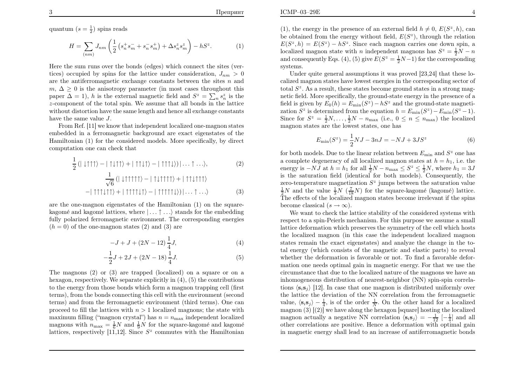quantum  $(s = \frac{1}{2})$  spins reads

$$
H = \sum_{(nm)} J_{nm} \left( \frac{1}{2} \left( s_n^+ s_m^- + s_n^- s_m^+ \right) + \Delta s_n^z s_m^z \right) - hS^z.
$$
 (1)

Here the sum runs over the bonds (edges) which connect the sites (vertices) occupied by spins for the lattice under consideration,  $J_{nm} > 0$ are the antiferromagnetic exchange constants between the sites  $n$  and m,  $\Delta \geq 0$  is the anisotropy parameter (in most cases throughout this paper  $\Delta = 1$ , h is the external magnetic field and  $S^z = \sum_n s_n^z$  is the <sup>z</sup>-component of the total spin. We assume that all bonds in the lattice without distortion have the same length and hence all exchange constantshave the same value  $J$ .

 From Ref. [11] we know that independent localized one-magnon states embedded in <sup>a</sup> ferromagnetic background are exact eigenstates of the Hamiltonian (1) for the considered models. More specifically, by directcomputation one can check that

$$
\frac{1}{2} (|\downarrow\uparrow\uparrow\uparrow\rangle - |\uparrow\downarrow\uparrow\uparrow\rangle + |\uparrow\uparrow\downarrow\uparrow\rangle - |\uparrow\uparrow\uparrow\downarrow\rangle)| \dots \uparrow \dots \rangle, \tag{2}
$$
\n
$$
\frac{1}{\sqrt{6}} (|\downarrow\uparrow\uparrow\uparrow\uparrow\rangle - |\uparrow\downarrow\uparrow\uparrow\uparrow\rangle + |\uparrow\uparrow\downarrow\uparrow\uparrow\rangle)
$$
\n
$$
-|\uparrow\uparrow\uparrow\downarrow\uparrow\uparrow\rangle + |\uparrow\uparrow\uparrow\downarrow\uparrow\rangle - |\uparrow\uparrow\uparrow\uparrow\uparrow\downarrow\rangle)| \dots \uparrow \dots \rangle \tag{3}
$$

are the one-magnon eigenstates of the Hamiltonian (1) on the squarekagomé and kagomé lattices, where  $| \dots \uparrow \dots \rangle$  stands for the embedding fully polarized ferromagnetic environment. The corresponding energies $(h = 0)$  of the one-magnon states  $(2)$  and  $(3)$  are

$$
-J + J + (2N - 12)\frac{1}{4}J,\tag{4}
$$

$$
-\frac{1}{2}J + 2J + (2N - 18)\frac{1}{4}J.\tag{5}
$$

The magnons (2) or (3) are trapped (localized) on <sup>a</sup> square or on <sup>a</sup> hexagon, respectively. We separate explicitly in (4), (5) the contributions to the energy from those bonds which form <sup>a</sup> magnon trapping cell (first terms), from the bonds connecting this cell with the environment (second terms) and from the ferromagnetic environment (third terms). One canproceed to fill the lattices with  $n > 1$  localized magnons; the state with maximum filling ("magnon crystal") has  $n=n_{\text{max}}$  independent localized magnons with  $n_{\text{max}} = \frac{1}{6}N$  and  $\frac{1}{9}N$  for the square-kagomé and kagomé lattices, respectively [11,12]. Since  $S^z$  commutes with the Hamiltonian

(1), the energy in the presence of an external field  $h \neq 0, E(S<sup>z</sup>, h)$ , can be obtained from the energy without field,  $E(S^z)$ , through the relation  $E(S^z, h) = E(S^z) - hS^z$ . Since each magnon carries one down spin, a localized magnon state with n independent magnons has  $S^z = \frac{1}{2}N - n$ and consequently Eqs. (4), (5) give  $E(S^z = \frac{1}{2}N-1)$  for the corresponding systems.

 Under quite genera<sup>l</sup> assumptions it was proved [23,24] that these localized magnon states have lowest energies in the corresponding sector oftotal  $S^z$ . As a result, these states become ground states in a strong mag- netic field. More specifically, the ground-state energy in the presence of <sup>a</sup>field is given by  $E_0(h) = E_{\min}(S^z) - hS^z$  and the ground-state magneti-<br> $\frac{G(z)}{g(z)} = \frac{1}{h} \int_{\Omega} \frac{1}{h(z)} \frac{1}{h(z)} \frac{1}{h(z)}$ zation  $S^z$  is determined from the equation  $h = E_{\min}(S^z) - E_{\min}(S^z - 1)$ . Since for  $S^z = \frac{1}{2}N, \ldots, \frac{1}{2}N-n_{\text{max}}$  (i.e.,  $0 \le n \le n_{\text{max}}$ ) the localized magnon states are the lowest states, one has

$$
E_{\min}(S^z) = \frac{1}{2}NJ - 3nJ = -NJ + 3JS^z
$$
 (6)

for both models. Due to the linear relation between  $E_{\text{min}}$  and  $S^z$  one has a complete degeneracy of all localized magnon states at  $h=h_1$ , i.e. the energy is  $-NJ$  at  $h = h_1$  for all  $\frac{1}{2}N - n_{\text{max}} \leq S^z \leq \frac{1}{2}N$ , where  $h_1 = 3J$  is the saturation field (identical for both models). Consequently, thezero-temperature magnetization  $S^z$  jumps between the saturation value  $\frac{1}{2}N$  and the value  $\frac{1}{3}N(\frac{7}{18}N)$  for the square-kagomé (kagomé) lattice. The effects of the localized magnon states become irrelevant if the spinsbecome classical  $(s \to \infty)$ .

We want to check the lattice stability of the considered systems with respect to <sup>a</sup> spin-Peierls mechanism. For this purpose we assume <sup>a</sup> smalllattice deformation which preserves the symmetry of the cell which hosts the localized magnon (in this case the independent localized magnon states remain the exact eigenstates) and analyze the change in the total energy (which consists of the magnetic and elastic parts) to revealwhether the deformation is favorable or not. To find <sup>a</sup> favorable deformation one needs optimal gain in magnetic energy. For that we use the circumstance that due to the localized nature of the magnons we have an inhomogeneous distribution of nearest-neighbor (NN) spin-spin correlations  $\langle s_i s_j \rangle$  [12]. In case that one magnon is distributed uniformly over the lattice the deviation of the NN correlation from the ferromagneticvalue,  $\langle s_i s_j \rangle - \frac{1}{4}$ , is of the order  $\frac{1}{N}$ . On the other hand for a localized<br>magnon (3) [(2)] we have along the hexagon [square] bosting the localized magnon  $(3)$   $(2)$ ] we have along the hexagon [square] hosting the localized magnon actually a negative NN correlation  $\langle s_i s_j \rangle = -\frac{1}{12}[-\frac{1}{4}]$  and all other correlations are positive. Hence <sup>a</sup> deformation with optimal gainin magnetic energy shall lead to an increase of antiferromagnetic bonds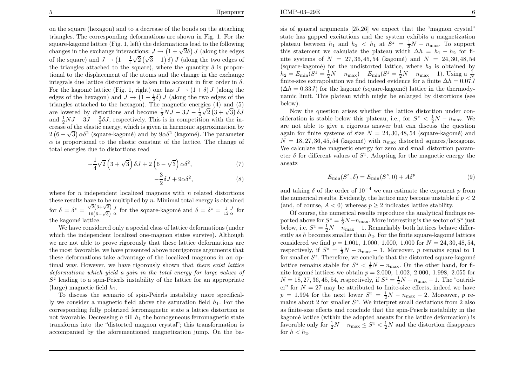below).

on the square (hexagon) and to <sup>a</sup> decrease of the bonds on the attaching triangles. The corresponding deformations are shown in Fig. 1. For thesquare-kagomé lattice (Fig. 1, left) the deformations lead to the following changes in the exchange interactions:  $J \to (1 + \sqrt{2}\delta) J$  (along the edges of the square) and  $J \to \left(1 - \frac{1}{4}\sqrt{2}\left(\sqrt{3} - 1\right)\delta\right)J$  (along the two edges of the triangles attached to the square), where the quantity  $\delta$  is proportional to the displacement of the atoms and the change in the exchangeintegrals due lattice distortions is taken into account in first order in  $\delta$ . For the kagomé lattice (Fig. 1, right) one has  $J \to (1 + \delta) J$  (along the edges of the edges of the edges of the edges of the hexagon) and  $J \rightarrow (1 - \frac{1}{2}\delta) J$  (along the two edges of the triangles attached to the hexagon). The magnetic energies (4) and (5)are lowered by distortions and become  $\frac{1}{2}NJ - 3J - \frac{1}{4}\sqrt{2}(3+\sqrt{3})\delta J$ and  $\frac{1}{2}NJ - 3J - \frac{3}{2}\delta J$ , respectively. This is in competition with the in- crease of the elastic energy, which is given in harmonic approximation by $2(6-\sqrt{3})\alpha\delta^2$  (square-kagomé) and by  $9\alpha\delta^2$  (kagomé). The parameter  $\alpha$  is proportional to the elastic constant of the lattice. The change of total energies due to distortions read

$$
-\frac{1}{4}\sqrt{2}\left(3+\sqrt{3}\right)\delta J + 2\left(6-\sqrt{3}\right)\alpha\delta^2,\tag{7}
$$

$$
-\frac{3}{2}\delta J + 9\alpha \delta^2,\tag{8}
$$

where for  $n$  independent localized magnons with  $n$  related distortions these results have to be multiplied by  $n$ . Minimal total energy is obtained for  $\delta = \delta^* = \frac{\sqrt{2}(3+\sqrt{3})}{16(6-\sqrt{3})} \frac{J}{\alpha}$  for the square-kagomé and  $\delta = \delta^* = \frac{1}{12} \frac{J}{\alpha}$  for the kagomé lattice.

We have considered only <sup>a</sup> special class of lattice deformations (under which the independent localized one-magnon states survive). Although we are not able to prove rigorously that these lattice deformations are the most favorable, we have presented above nonrigorous arguments that these deformations take advantage of the localized magnons in an optimal way. However, we have rigorously shown that there exist lattice deformations which yield <sup>a</sup> gain in the total energy for large values of $S<sup>z</sup>$  leading to a spin-Peierls instability of the lattice for an appropriate (large) magnetic field  $h_1$ .

 To discuss the scenario of spin-Peierls instability more specifically we consider a magnetic field above the saturation field  $h_1$ . For the corresponding fully polarized ferromagnetic state <sup>a</sup> lattice distortion isnot favorable. Decreasing  $h$  till  $h_1$  the homogeneous ferromagnetic state transforms into the "distorted magnon crystal"; this transformation isaccompanied by the aforementioned magnetization jump. On the basis of genera<sup>l</sup> arguments [25,26] we expect that the "magnon crystal" state has gapped excitations and the system exhibits <sup>a</sup> magnetizationplateau between  $h_1$  and  $h_2 < h_1$  at  $S^z = \frac{1}{2}N - n_{\text{max}}$ . To support this statement we calculate the plateau width  $\Delta h = h_1 - h_2$  for finite systems of  $N = 27, 36, 45, 54$  (kagomé) and  $N = 24, 30, 48, 54$ (square-kagomé) for the undistorted lattice, where  $h_2$  is obtained by  $h_2 = E_{\text{min}}(S^z = \frac{1}{2}N - n_{\text{max}}) - E_{\text{min}}(S^z = \frac{1}{2}N - n_{\text{max}} - 1)$ . Using a  $\frac{1}{N}$ finite-size extrapolation we find indeed evidence for a finite  $\Delta h = 0.07J$  $(\Delta h = 0.33J)$  for the kagomé (square-kagomé) lattice in the thermodynamic limit. This <sup>p</sup>lateau width might be enlarged by distortions (see

Now the question arises whether the lattice distortion under consideration is stable below this plateau, i.e., for  $S^z < \frac{1}{2}N - n_{\text{max}}$ . We are not able to give <sup>a</sup> rigorous answer but can discuss the questionagain for finite systems of size  $N = 24, 30, 48, 54$  (square-kagomé) and<br> $N = 18, 27, 36, 45, 54$  (leavent) with an alighted survey (here were  $N = 18, 27, 36, 45, 54$  (kagomé) with  $n_{\text{max}}$  distorted squares/hexagons. We calculate the magnetic energy for zero and small distortion parameter  $\delta$  for different values of  $S^z$ . Adopting for the magnetic energy the ansatz

$$
E_{\min}(S^z, \delta) = E_{\min}(S^z, 0) + A\delta^p \tag{9}
$$

and taking  $\delta$  of the order of  $10^{-4}$  we can estimate the exponent p from the numerical results. Evidently, the lattice may become unstable if  $p < 2$ (and, of course,  $A < 0$ ) whereas  $p \ge 2$  indicates lattice stability.

 Of course, the numerical results reproduce the analytical findings reported above for  $S^z = \frac{1}{2}N - n_{\text{max}}$ . More interesting is the sector of  $S^z$  just below, i.e.  $S^z = \frac{1}{2}N - n_{\text{max}} - 1$ . Remarkably both lattices behave differently as h becomes smaller than  $h_2$ . For the finite square-kagomé lattices considered we find  $p = 1.001, 1.000, 1.000, 1.000$  for  $N = 24, 30, 48, 54,$ respectively, if  $S^z = \frac{1}{2}N - n_{\text{max}} - 1$ . Moreover, p remains equal to 1 for smaller  $S^z$ . Therefore, we conclude that the distorted square-kagomé lattice remains stable for  $S^z < \frac{1}{2}N-n_{\text{max}}$ . On the other hand, for finite kagomé lattices we obtain  $p = 2.000, 1.002, 2.000, 1.998, 2.055$  for  $N = 18, 27, 36, 45, 54$ , respectively, if  $S^z = \frac{1}{2}N - n_{\text{max}} - 1$ . The "outrid-<br> $S^z = \frac{1}{2}N - n_{\text{max}} - 1$ . The "outrider" for  $N = 27$  may be attributed to finite-size effects, indeed we have  $p = 1.994$  for the next lower  $S^z = \frac{1}{2}N - n_{\text{max}} - 2$ . Moreover, p remains about 2 for smaller  $S^z$ . We interpret small deviations from 2 also as finite-size effects and conclude that the spin-Peierls instability in thekagomé lattice (within the adopted ansatz for the lattice deformation) is favorable only for  $\frac{1}{2}N-n_{\text{max}} \leq S^z < \frac{1}{2}N$  and the distortion disappears for  $h < h_2$ .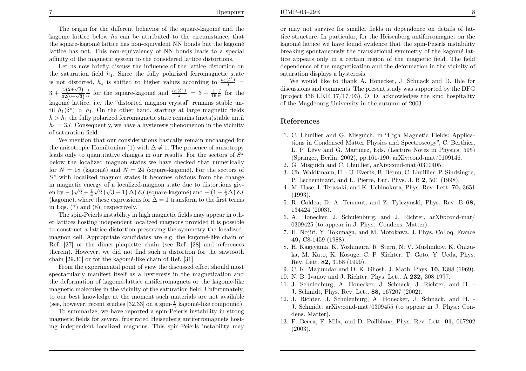The origin for the different behavior of the square-kagomé and the kagomé lattice below  $h_2$  can be attributed to the circumstance, that the square-kagomé lattice has non-equivalent NN bonds but the kagomé lattice has not. This non-equivalency of NN bonds leads to <sup>a</sup> specialaffinity of the magnetic system to the considered lattice distortions.

 Let us now briefly discuss the influence of the lattice distortion onthe saturation field  $h_1$ . Since the fully polarized ferromagnetic state is not distorted,  $h_1$  is shifted to higher values according to  $\frac{h_1(\delta^*)}{J}$  =  $3+\frac{3(2+\sqrt{3})}{32(6-\sqrt{3})}\frac{J}{\alpha}$  for the square-kagomé and  $\frac{h_1(\delta^*)}{J}=3+\frac{1}{16}\frac{J}{\alpha}$  for the kagomé lattice, i.e. the "distorted magnon crystal" remains stable until  $h_1(\delta^*) > h_1$ . On the other hand, starting at large magnetic fields  $h > h_1$  the fully polarized ferromagnetic state remains (meta)stable until  $h_1 = 3J$ . Consequently, we have a hysteresis phenomenon in the vicinity of saturation field.

We mention that our considerations basically remain unchanged forthe anisotropic Hamiltonian (1) with  $\Delta \neq 1$ . The presence of anisotropy leads only to quantitative changes in our results. For the sectors of  $S^z$  below the localized magnon states we have checked that numericallyfor  $N = 18$  (kagomé) and  $N = 24$  (square-kagomé). For the sectors of  $S<sup>z</sup>$  with localized magnon states it becomes obvious from the change in magnetic energy of <sup>a</sup> localized-magnon state due to distortions given by –  $(\sqrt{2} + \frac{1}{4}\sqrt{2}(\sqrt{3}-1) \Delta) \delta J$  (square-kagomé) and –  $(1 + \frac{1}{2}\Delta) \delta J$ (kagomé), where these expressions for  $\Delta = 1$  transform to the first terms in Eqs. (7) and (8), respectively.

The spin-Peierls instability in high magnetic fields may appear in other lattices hosting independent localized magnons provided it is possible to construct <sup>a</sup> lattice distortion preserving the symmetry the localizedmagnon cell. Appropriate candidates are e.g. the kagomé-like chain of Ref. [27] or the dimer-plaquette chain (see Ref. [28] and references therein). However, we did not find such <sup>a</sup> distortion for the sawtoothchain  $[29,30]$  or for the kagomé-like chain of Ref.  $[31]$ .

From the experimental point of view the discussed effect should most spectacularly manifest itself as <sup>a</sup> hysteresis in the magnetization andthe deformation of kagomé-lattice antiferromagnets or the kagomé-like magnetic molecules in the vicinity of the saturation field. Unfortunately, to our best knowledge at the moment such materials are not available(see, however, recent studies [32,33] on a spin- $\frac{1}{2}$  kagomé-like compound).

To summarize, we have reported <sup>a</sup> spin-Peierls instability in strong magnetic fields for several frustrated Heisenberg antiferromagnets hosting independent localized magnons. This spin-Peierls instability may

or may not survive for smaller fields in dependence on details of lattice structure. In particular, for the Heisenberg antiferromagnet on thekagomé lattice we have found evidence that the spin-Peierls instability breaking spontaneously the translational symmetry of the kagomé lattice appears only in <sup>a</sup> certain region of the magnetic field. The field dependence of the magnetization and the deformation in the vicinity ofsaturation displays <sup>a</sup> hysteresis.

 We would like to thank A. Honecker, J. Schnack and D. Ihle for discussions and comments. The present study was supported by the DFG(project 436 UKR  $17/17/03$ ). O. D. acknowledges the kind hospitality of the Magdeburg University in the autumn of 2003.

## References

- 1. C. Lhuillier and G. Misguich, in "High Magnetic Fields: Applications in Condensed Matter Physics and Spectroscopy", C. Berthier,L. P. Lévy and G. Martinez, Eds. (Lecture Notes in Physics, 595) (Springer, Berlin, 2002), pp.161-190; arXiv:cond-mat/0109146.
- 2. G. Misguich and C. Lhuillier, arXiv:cond-mat/0310405.
- 3. Ch. Waldtmann, H. U. Everts, B. Bernu, C. Lhuillier, P. Sindzingre,P. Lecheminant, and L. Pierre, Eur. Phys. J. B 2, 501 (1998).
- 4. M. Hase, I. Terasaki, and K. Uchinokura, Phys. Rev. Lett. 70, <sup>3651</sup>(1993).
- 5. R. Coldea, D. A. Tennant, and Z. Tylczynski, Phys. Rev. B 68, <sup>134424</sup> (2003).
- 6. A. Honecker, J. Schulenburg, and J. Richter, arXiv:cond-mat/<sup>0309425</sup> (to appear in J. Phys.: Condens. Matter).
- 7. H. Nojiri, Y. Tokunaga, and M. Motokawa, J. Phys. Colloq. France49, C8-1459 (1988).
- 8. H. Kageyama, K. Yoshimura, R. Stern, N. V. Mushnikov, K. Onizuka, M. Kato, K. Kosuge, C. P. Slichter, T. Goto, Y. Ueda, Phys.Rev. Lett. 82, <sup>3168</sup> (1999).
- 9. C. K. Majumdar and D. K. Ghosh, J. Math. Phys. 10, <sup>1388</sup> (1969).
- 10. N. B. Ivanov and J. Richter, Phys. Lett. A 232, 308 1997.
- 11. J. Schulenburg, A. Honecker, J. Schnack, J. Richter, and H. J. Schmidt, Phys. Rev. Lett. 88, <sup>167207</sup> (2002).
- 12. J. Richter, J. Schulenburg, A. Honecker, J. Schnack, and H. J. Schmidt, arXiv:cond-mat/0309455 (to appear in J. Phys.: Condens. Matter).
- 13. F. Becca, F. Mila, and D. Poilblanc, Phys. Rev. Lett. 91, 067202(2003).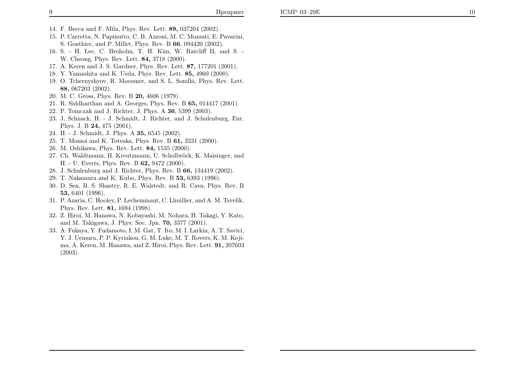- 14. F. Becca and F. Mila, Phys. Rev. Lett. 89, <sup>037204</sup> (2002).
- 15. P. Carretta, N. Papinutto, C. B. Azzoni, M. C. Mozzati, E. Pavarini, S. Gonthier, and P. Millet, Phys. Rev. B  $66, 094420$  (2002).
- 16. S. H. Lee, C. Broholm, T. H. Kim, W. Ratcliff II, and S. -W. Cheong, Phys. Rev. Lett. **84,** 3718 (2000).
- 17. A. Keren and J. S. Gardner, Phys. Rev. Lett. 87, <sup>177201</sup> (2001).
- 18. Y. Yamashita and K. Ueda, Phys. Rev. Lett. 85, <sup>4960</sup> (2000).
- 19. O. Tchernyshyov, R. Moessner, and S. L. Sondhi, Phys. Rev. Lett.88, <sup>067203</sup> (2002).
- 20. M. C. Gross, Phys. Rev. B 20, <sup>4606</sup> (1979).
- 21. R. Siddharthan and A. Georges, Phys. Rev. B  $65,014417$  (2001).
- 22. P. Tomczak and J. Richter, J. Phys. A  $36, 5399$  (2003).
- 23. J. Schnack, H. J. Schmidt, J. Richter, and J. Schulenburg, Eur.Phys. J. B 24, 475 (2001).
- 24. H. J. Schmidt, J. Phys. A 35, 6545 (2002).
- 25. T. Momoi and K. Totsuka, Phys. Rev. B **61,** 3231 (2000).
- 26. M. Oshikawa, Phys. Rev. Lett. 84, <sup>1535</sup> (2000).
- 27. Ch. Waldtmann, H. Kreutzmann, U. Schollw¨ock, K. Maisinger, andH. - U. Everts, Phys. Rev. B 62, <sup>9472</sup> (2000).
- 28. J. Schulenburg and J. Richter, Phys. Rev. B 66, 134419 (2002).
- 29. T. Nakamura and K. Kubo, Phys. Rev. B 53, <sup>6393</sup> (1996).
- 30. D. Sen, B. S. Shastry, R. E. Walstedt, and R. Cava, Phys. Rev. B $\bm{53},\,6401\,\,(1996).$
- 31. P. Azaria, C. Hooley, P. Lecheminant, C. Lhuillier, and A. M. Tsvelik,Phys. Rev. Lett. 81, <sup>1694</sup> (1998).
- 32. Z. Hiroi, M. Hanawa, N. Kobayashi, M. Nohara, H. Takagi, Y. Kato,and M. Takigawa, J. Phys. Soc. Jpn. 70, <sup>3377</sup> (2001).
- 33. A. Fukaya, Y. Fudamoto, I. M. Gat, T. Ito, M. I. Larkin, A. T. Savici, Y. J. Uemura, P. P. Kyriakou, G. M. Luke, M. T. Rovers, K. M. Kojima, A. Keren, M. Hanawa, and Z. Hiroi, Phys. Rev. Lett. 91, 207603(2003).